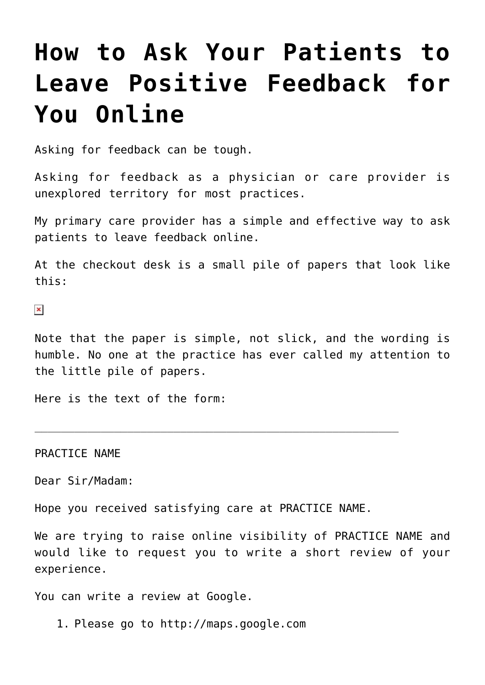## **[How to Ask Your Patients to](https://managemypractice.com/how-to-ask-your-patients-to-leave-positive-feedback-for-you-online/) [Leave Positive Feedback for](https://managemypractice.com/how-to-ask-your-patients-to-leave-positive-feedback-for-you-online/) [You Online](https://managemypractice.com/how-to-ask-your-patients-to-leave-positive-feedback-for-you-online/)**

Asking for feedback can be tough.

Asking for feedback as a physician or care provider is unexplored territory for most practices.

My primary care provider has a simple and effective way to ask patients to leave feedback online.

At the checkout desk is a small pile of papers that look like this:

 $\pmb{\times}$ 

Note that the paper is simple, not slick, and the wording is humble. No one at the practice has ever called my attention to the little pile of papers.

Here is the text of the form:

PRACTICE NAME

Dear Sir/Madam:

Hope you received satisfying care at PRACTICE NAME.

 $\_$  , and the contribution of the contribution of  $\mathcal{L}_\mathcal{A}$  , and the contribution of  $\mathcal{L}_\mathcal{A}$ 

We are trying to raise online visibility of PRACTICE NAME and would like to request you to write a short review of your experience.

You can write a review at Google.

1. Please go to http://maps.google.com